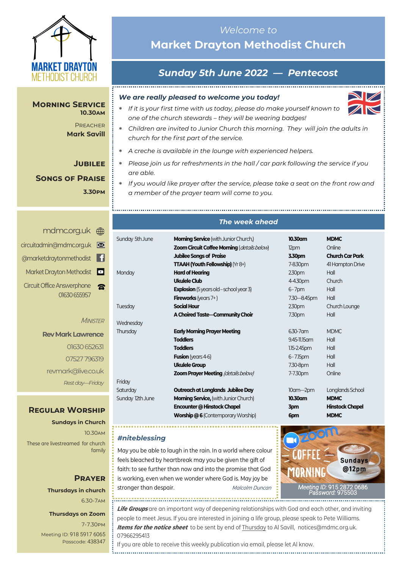

**Morning Service 10.30am**

> **PREACHER Mark Savill**

> > **Jubilee**

### **Songs of Praise 3.30pm**

## <mdmc.org.uk> [circuitadmin@mdmc.org.uk](mailto:circuitadmin@mdmc.org.uk) [@marketdraytonmethodist](https://www.facebook.com/MarketDraytonMethodist) Market Drayton Methodist Circuit Office Answerphone 01630 655957

**MINISTER** 

**Rev Mark Lawrence** 01630 652631 07527 796319 revmark@live.co.uk *Rest day—Friday*

## **Regular Worship**

**Sundays in Church** 10.30am These are livestreamed for church family

### **Prayer Thursdays in church** 6.30-7am

#### **Thursdays on Zoom**

7-7.30pm [Meeting ID:](https://us04web.zoom.us/j/77138650306?fbclid=IwAR1B778-w3GWZgDnAqUFq-X6hXjzASNTsZuRIt4kZ4Cpyur_3CO2EGlBBwY#success) 918 5917 6065 Passcode: 438347

## *Welcome to*  **Market Drayton Methodist Church**

# *Sunday 5th June 2022 — Pentecost*

#### *We are really pleased to welcome you today!*

- *If it is your first time with us today, please do make yourself known to one of the church stewards – they will be wearing badges!*
- *Children are invited to Junior Church this morning. They will join the adults in church for the first part of the service.*
- *A creche is available in the lounge with experienced helpers.*
- *Please join us for refreshments in the hall / car park following the service if you are able.*
	- *If you would like prayer after the service, please take a seat on the front row and a member of the prayer team will come to you.*

#### *The week ahead*

| Sunday 5th June  | <b>Morning Service</b> (with Junior Church,)   | 10.30am           | <b>MDMC</b>            |
|------------------|------------------------------------------------|-------------------|------------------------|
|                  | Zoom Circuit Coffee Morning (details below)    | 12pm              | Online                 |
|                  | <b>Jubilee Songs of Praise</b>                 | 3.30pm            | <b>Church Car Park</b> |
|                  | <b>TTAAH (Youth Fellowship)</b> ( $Yr8+$ )     | 7-8.30pm          | 41 Hampton Drive       |
| Monday           | <b>Hard of Hearing</b>                         | 230 <sub>pm</sub> | Hall                   |
|                  | Ukulele Club                                   | 4-4.30pm          | Church                 |
|                  | <b>Explosion</b> (5 years old – school year 3) | $6 - 7$ pm        | Hall                   |
|                  | <b>Fireworks</b> (years $7+$ )                 | 7.30 - 8.45pm     | Hall                   |
| Tuesday          | <b>Social Hour</b>                             | 2.30pm            | Church Lounge          |
|                  | A Choired Taste-Community Choir                | 7.30pm            | Hall                   |
| Wednesday        |                                                |                   |                        |
| Thursday         | <b>Early Morning Prayer Meeting</b>            | $6.30 - 7$ am     | <b>MDMC</b>            |
|                  | <b>Toddlers</b>                                | 9.45-11.15 am     | Hall                   |
|                  | <b>Toddlers</b>                                | $1.15 - 2.45$ pm  | Hall                   |
|                  | <b>Fusion</b> (years 4-6)                      | $6 - 7.15$ pm     | Hall                   |
|                  | <b>Ukulele Group</b>                           | 7.30-8pm          | Hall                   |
|                  | <b>Zoom Prayer Meeting (details below)</b>     | 7-7.30pm          | Online                 |
| Friday           |                                                |                   |                        |
| Saturday         | Outreach at Longlands Jubilee Day              | $10$ am $-2$ pm   | Longlands School       |
| Sunday 12th June | <b>Morning Service, (with Junior Church)</b>   | 10.30am           | <b>MDMC</b>            |
|                  | Encounter @ Hinstock Chapel                    | 3pm               | <b>Hinstock Chapel</b> |
|                  | <b>Worship @6 (Contemporary Worship)</b>       | 6pm               | <b>MDMC</b>            |

#### *#niteblessing*

May you be able to laugh in the rain. In a world where colour feels bleached by heartbreak may you be given the gift of faith: to see further than now and into the promise that God is working, even when we wonder where God is. May joy be stronger than despair. Malcolm Duncan



**Life Groups** are an important way of deepening relationships with God and each other, and inviting people to meet Jesus. If you are interested in joining a life group, please speak to Pete Williams. **Items for the notice sheet** to be sent by end of Thursday to Al Savill, notices@mdmc.org.uk. 07966295413

If you are able to receive this weekly publication via email, please let Al know.